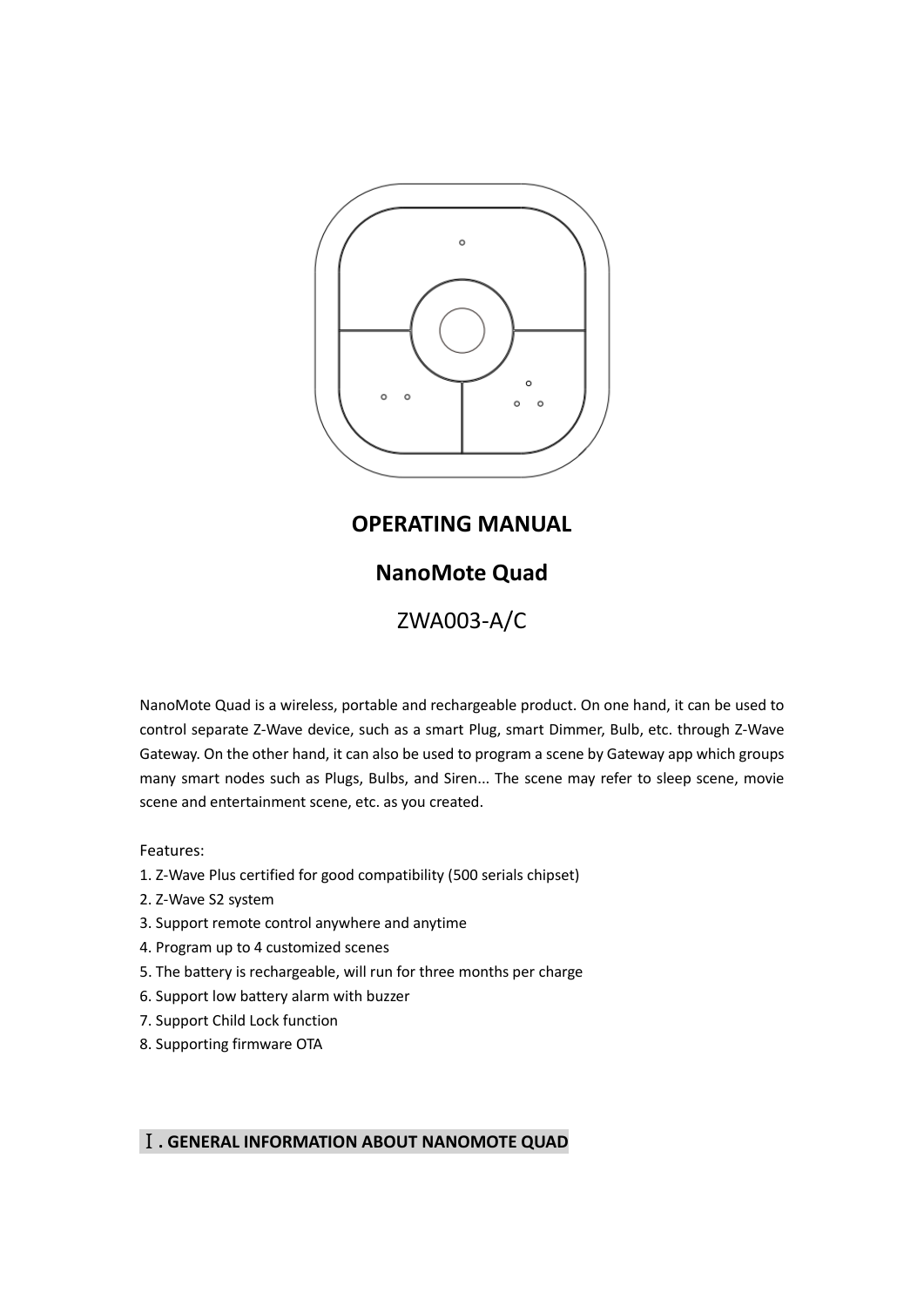

# **OPERATING MANUAL**

# **NanoMote Quad**

ZWA003-A/C

NanoMote Quad is a wireless, portable and rechargeable product. On one hand, it can be used to control separate Z-Wave device, such as a smart Plug, smart Dimmer, Bulb, etc. through Z-Wave Gateway. On the other hand, it can also be used to program a scene by Gateway app which groups many smart nodes such as Plugs, Bulbs, and Siren... The scene may refer to sleep scene, movie scene and entertainment scene, etc. as you created.

Features:

- 1. Z-Wave Plus certified for good compatibility (500 serials chipset)
- 2. Z-Wave S2 system
- 3. Support remote control anywhere and anytime
- 4. Program up to 4 customized scenes
- 5. The battery is rechargeable, will run for three months per charge
- 6. Support low battery alarm with buzzer
- 7. Support Child Lock function
- 8. Supporting firmware OTA

## Ⅰ**. GENERAL INFORMATION ABOUT NANOMOTE QUAD**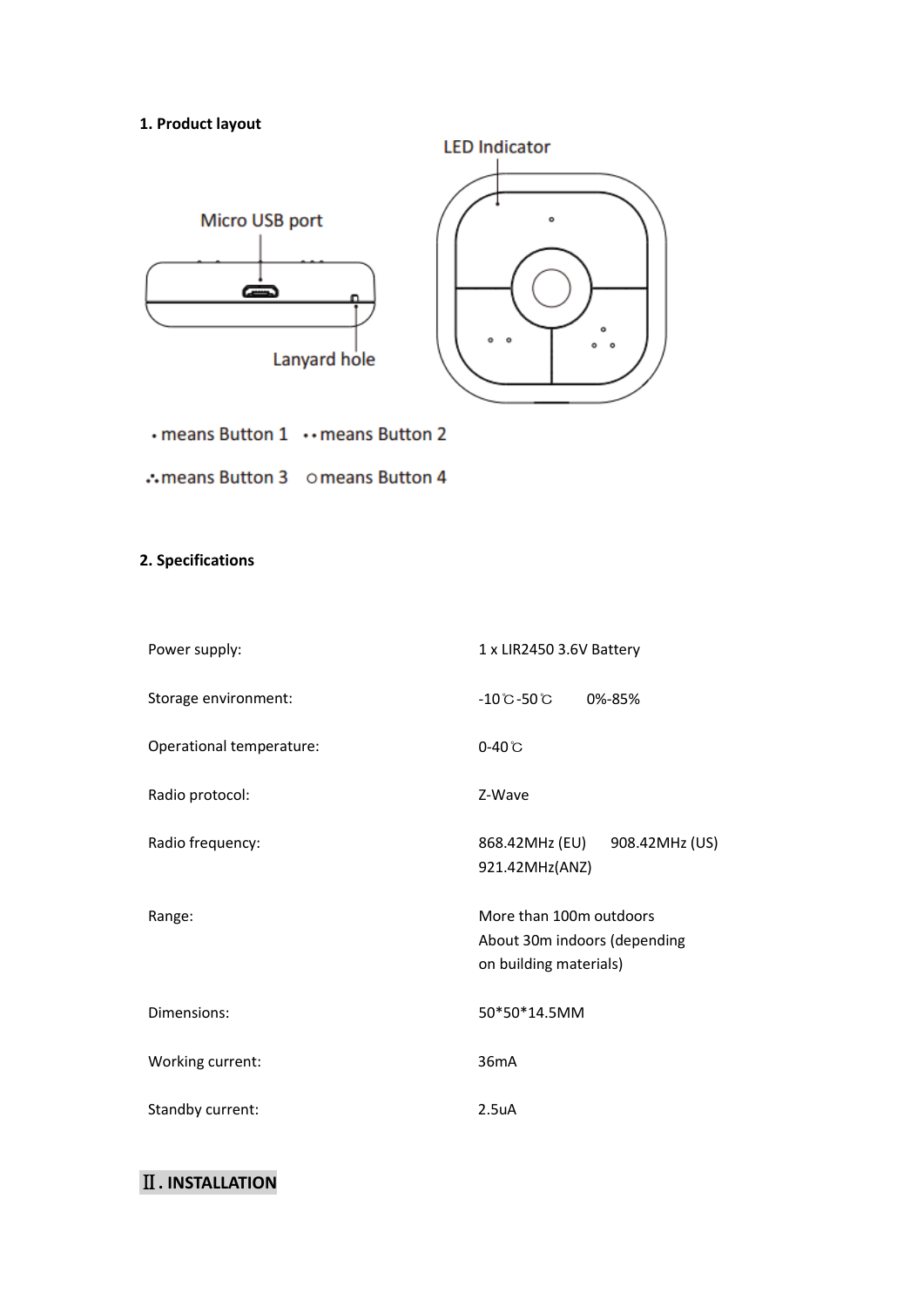## **1. Product layout**



- means Button 1 •• means Button 2
- ∴means Button 3 omeans Button 4

## **2. Specifications**

| Power supply:            | 1 x LIR2450 3.6V Battery                                                          |  |
|--------------------------|-----------------------------------------------------------------------------------|--|
| Storage environment:     | $-10^{\circ}$ C $-50^{\circ}$ C<br>0%-85%                                         |  |
| Operational temperature: | $0-40^\circ$ C                                                                    |  |
| Radio protocol:          | Z-Wave                                                                            |  |
| Radio frequency:         | 868.42MHz (EU)<br>908.42MHz (US)<br>921.42MHz(ANZ)                                |  |
| Range:                   | More than 100m outdoors<br>About 30m indoors (depending<br>on building materials) |  |
| Dimensions:              | 50*50*14.5MM                                                                      |  |
| Working current:         | 36mA                                                                              |  |
| Standby current:         | 2.5 <sub>u</sub> A                                                                |  |

# Ⅱ**. INSTALLATION**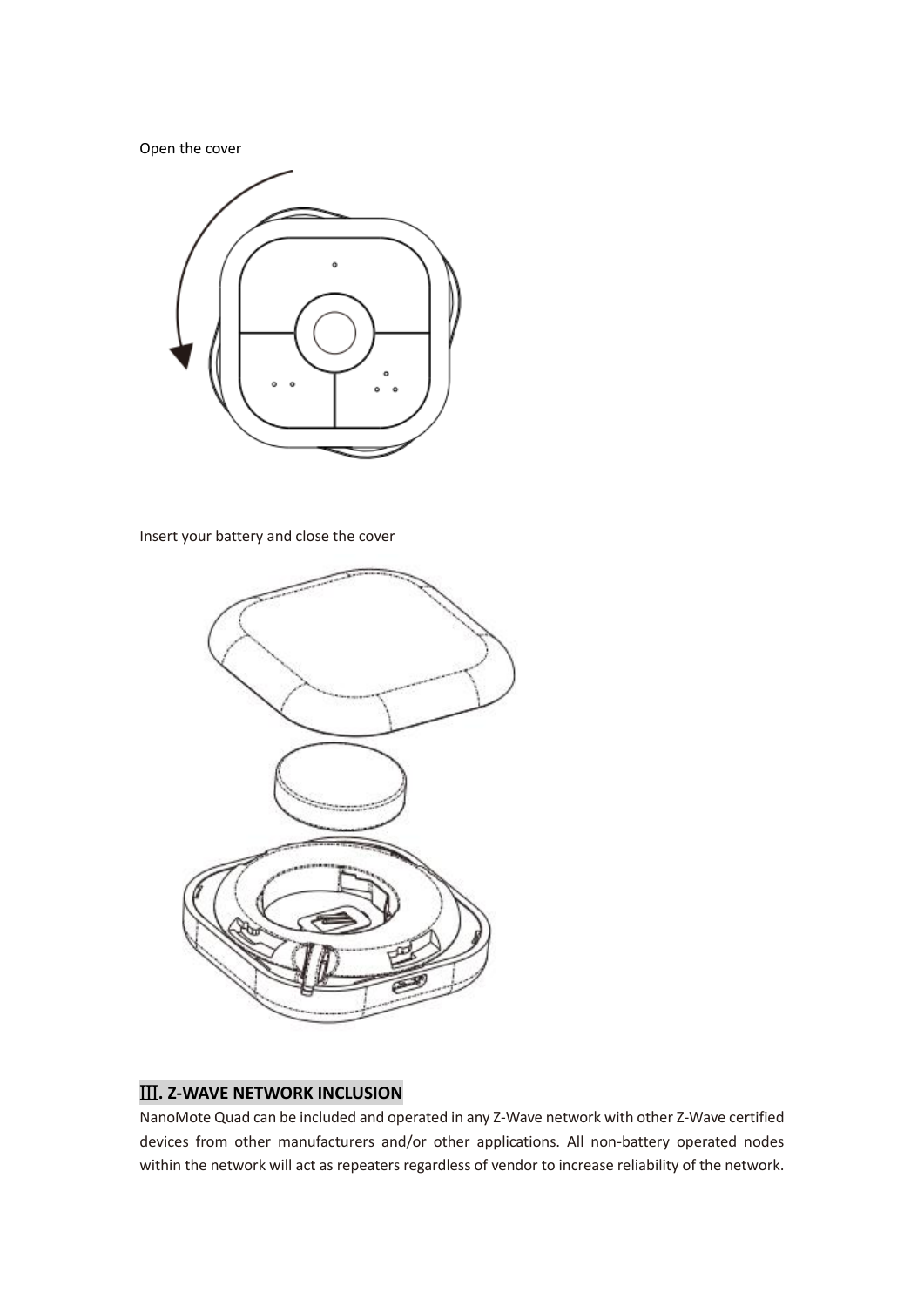Open the cover



Insert your battery and close the cover



## Ⅲ**. Z-WAVE NETWORK INCLUSION**

NanoMote Quad can be included and operated in any Z-Wave network with other Z-Wave certified devices from other manufacturers and/or other applications. All non-battery operated nodes within the network will act as repeaters regardless of vendor to increase reliability of the network.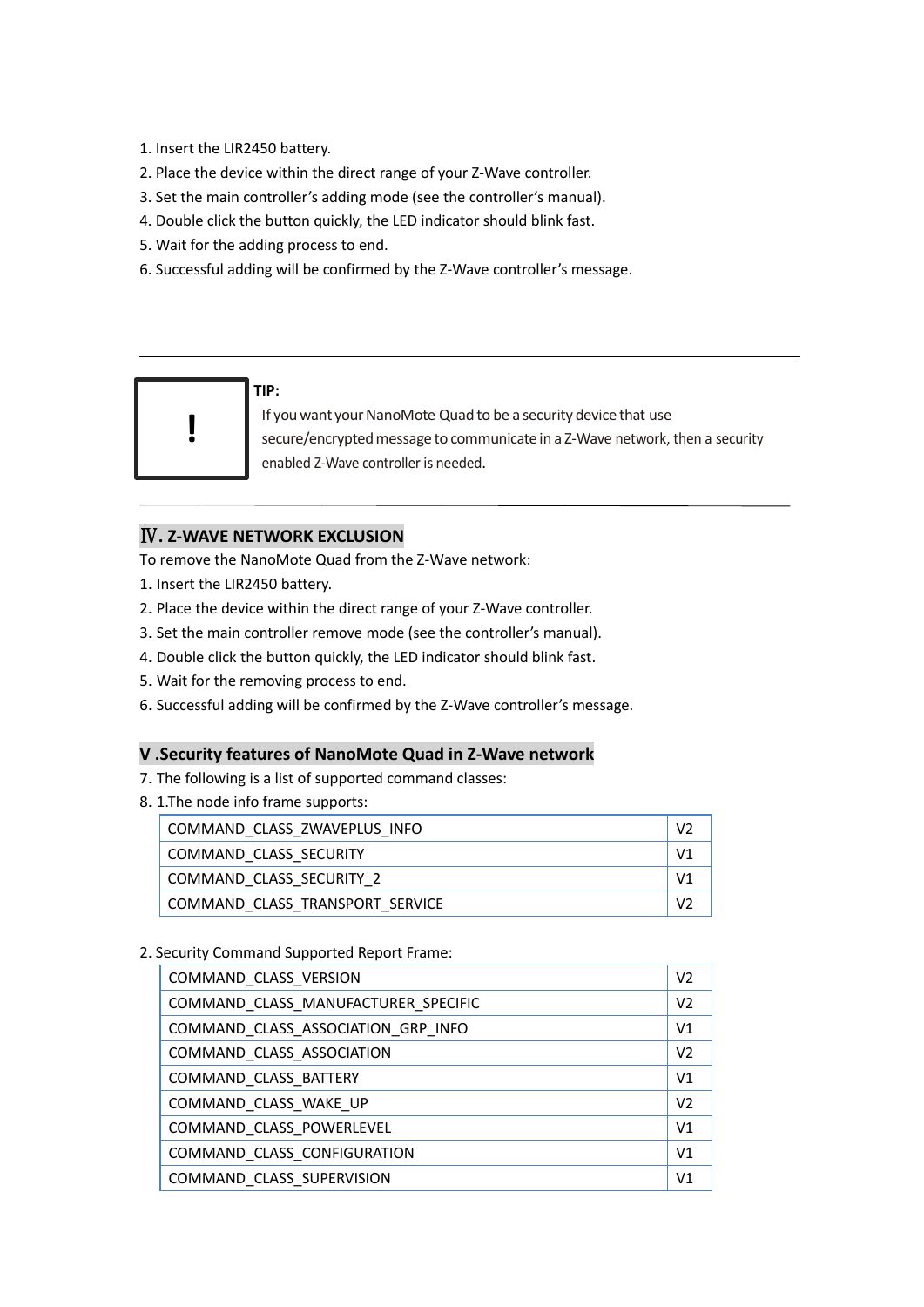- 1. Insert the LIR2450 battery.
- 2. Place the device within the direct range of your Z-Wave controller.
- 3. Set the main controller's adding mode (see the controller's manual).
- 4. Double click the button quickly, the LED indicator should blink fast.
- 5. Wait for the adding process to end.
- 6. Successful adding will be confirmed by the Z-Wave controller's message.



#### **TIP:**

If you want your NanoMote Quad to be a security device that use secure/encrypted message to communicate in a Z-Wave network, then a security enabled Z-Wave controller is needed.

## Ⅳ**. Z-WAVE NETWORK EXCLUSION**

To remove the NanoMote Quad from the Z-Wave network:

- 1. Insert the LIR2450 battery.
- 2. Place the device within the direct range of your Z-Wave controller.
- 3. Set the main controller remove mode (see the controller's manual).
- 4. Double click the button quickly, the LED indicator should blink fast.
- 5. Wait for the removing process to end.
- 6. Successful adding will be confirmed by the Z-Wave controller's message.

## **V .Security features of NanoMote Quad in Z-Wave network**

- 7. The following is a list of supported command classes:
- 8. 1.The node info frame supports:

| COMMAND CLASS ZWAVEPLUS INFO    | V2             |
|---------------------------------|----------------|
| COMMAND CLASS SECURITY          | V <sub>1</sub> |
| COMMAND CLASS SECURITY 2        | V <sub>1</sub> |
| COMMAND CLASS TRANSPORT SERVICE | V <sub>2</sub> |

### 2. Security Command Supported Report Frame:

| COMMAND CLASS VERSION               | V <sub>2</sub> |
|-------------------------------------|----------------|
| COMMAND CLASS MANUFACTURER SPECIFIC | V <sub>2</sub> |
| COMMAND CLASS ASSOCIATION GRP INFO  | V <sub>1</sub> |
| COMMAND CLASS ASSOCIATION           | V <sub>2</sub> |
| COMMAND CLASS BATTERY               | V <sub>1</sub> |
| COMMAND CLASS WAKE UP               | V <sub>2</sub> |
| COMMAND CLASS POWERLEVEL            | V <sub>1</sub> |
| COMMAND CLASS CONFIGURATION         | V <sub>1</sub> |
| COMMAND CLASS SUPERVISION           | V <sub>1</sub> |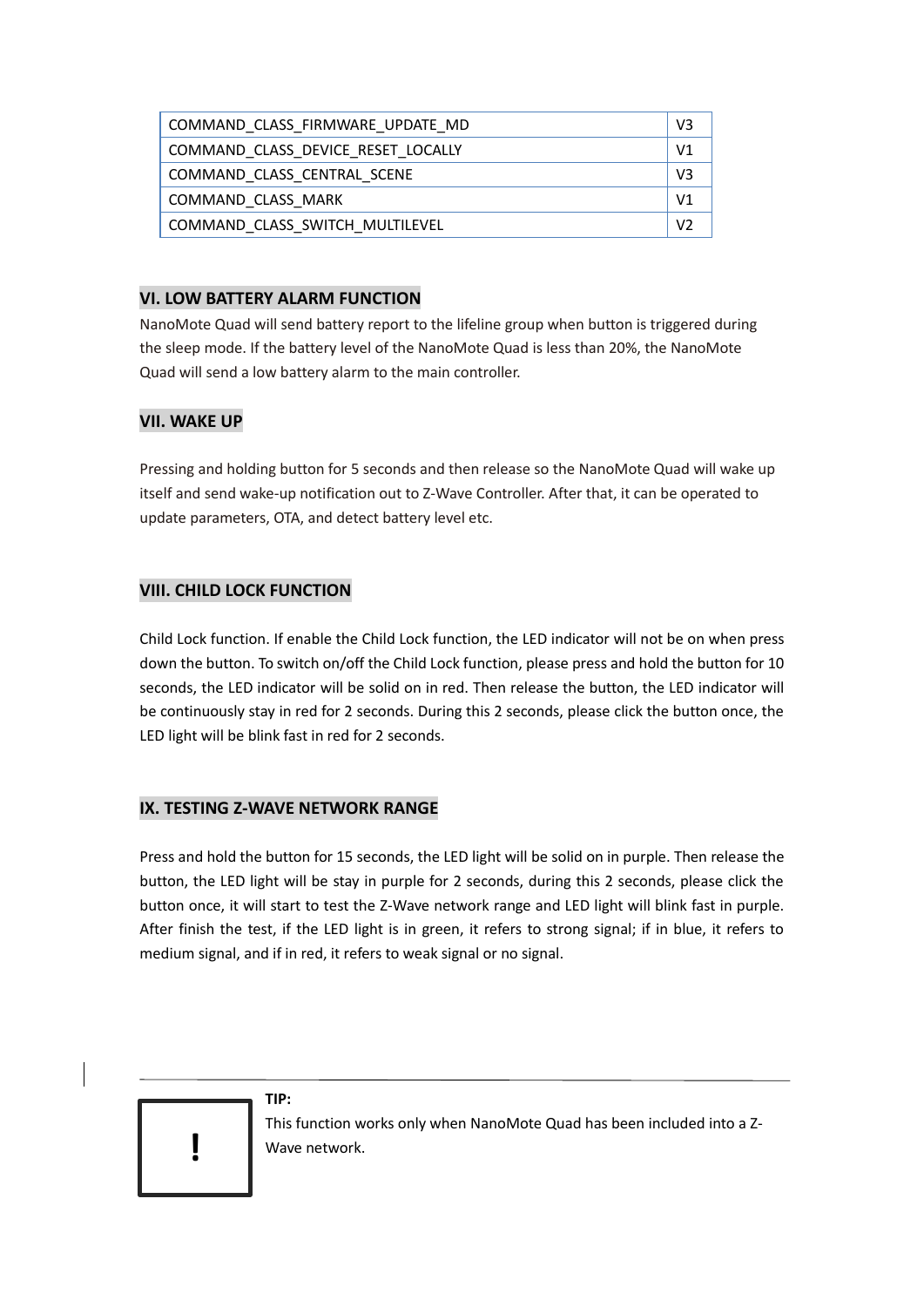| COMMAND CLASS FIRMWARE UPDATE MD   | V3             |
|------------------------------------|----------------|
| COMMAND CLASS DEVICE RESET LOCALLY | V1             |
| COMMAND CLASS CENTRAL SCENE        | V3             |
| COMMAND CLASS MARK                 | V <sub>1</sub> |
| COMMAND CLASS SWITCH MULTILEVEL    | V <sub>2</sub> |

## **VI. LOW BATTERY ALARM FUNCTION**

NanoMote Quad will send battery report to the lifeline group when button is triggered during the sleep mode. If the battery level of the NanoMote Quad is less than 20%, the NanoMote Quad will send a low battery alarm to the main controller.

## **VII. WAKE UP**

Pressing and holding button for 5 seconds and then release so the NanoMote Quad will wake up itself and send wake-up notification out to Z-Wave Controller. After that, it can be operated to update parameters, OTA, and detect battery level etc.

## **VIII. CHILD LOCK FUNCTION**

Child Lock function. If enable the Child Lock function, the LED indicator will not be on when press down the button. To switch on/off the Child Lock function, please press and hold the button for 10 seconds, the LED indicator will be solid on in red. Then release the button, the LED indicator will be continuously stay in red for 2 seconds. During this 2 seconds, please click the button once, the LED light will be blink fast in red for 2 seconds.

### **IX. TESTING Z-WAVE NETWORK RANGE**

Press and hold the button for 15 seconds, the LED light will be solid on in purple. Then release the button, the LED light will be stay in purple for 2 seconds, during this 2 seconds, please click the button once, it will start to test the Z-Wave network range and LED light will blink fast in purple. After finish the test, if the LED light is in green, it refers to strong signal; if in blue, it refers to medium signal, and if in red, it refers to weak signal or no signal.



#### **TIP:**

This function works only when NanoMote Quad has been included into a Z-Wave network. **!**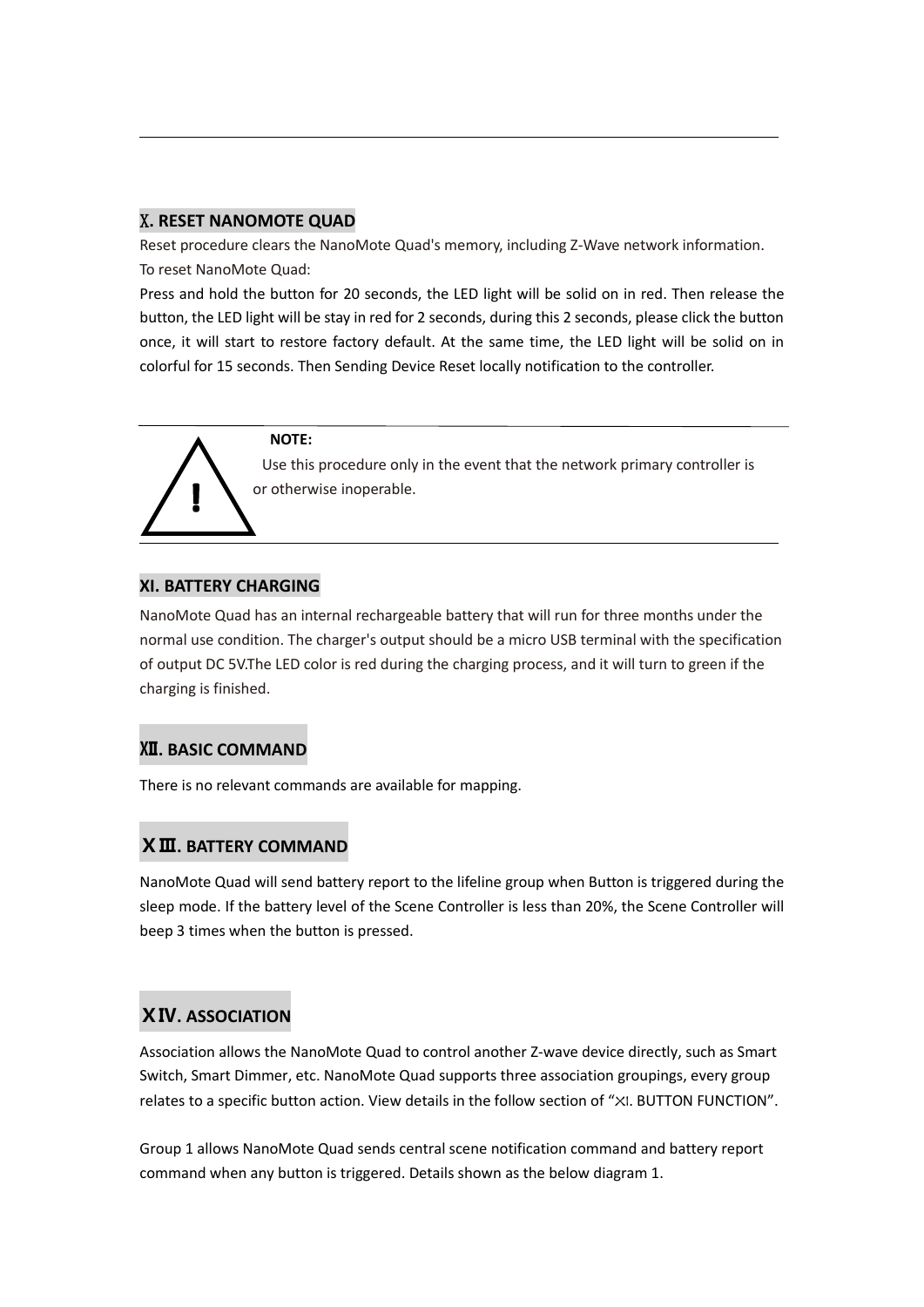## X**. RESET NANOMOTE QUAD**

Reset procedure clears the NanoMote Quad's memory, including Z-Wave network information. To reset NanoMote Quad:

Press and hold the button for 20 seconds, the LED light will be solid on in red. Then release the button, the LED light will be stay in red for 2 seconds, during this 2 seconds, please click the button once, it will start to restore factory default. At the same time, the LED light will be solid on in colorful for 15 seconds. Then Sending Device Reset locally notification to the controller.

#### **NOTE:**

 Use this procedure only in the event that the network primary controller is or otherwise inoperable.

### **XI. BATTERY CHARGING**

 $\overline{a}$ 

NanoMote Quad has an internal rechargeable battery that will run for three months under the normal use condition. The charger's output should be a micro USB terminal with the specification of output DC 5V.The LED color is red during the charging process, and it will turn to green if the charging is finished.

### **Ⅻ. BASIC COMMAND**

There is no relevant commands are available for mapping.

### **ⅩⅢ. BATTERY COMMAND**

NanoMote Quad will send battery report to the lifeline group when Button is triggered during the sleep mode. If the battery level of the Scene Controller is less than 20%, the Scene Controller will beep 3 times when the button is pressed.

## **ⅩⅣ. ASSOCIATION**

Association allows the NanoMote Quad to control another Z-wave device directly, such as Smart Switch, Smart Dimmer, etc. NanoMote Quad supports three association groupings, every group relates to a specific button action. View details in the follow section of "XI. BUTTON FUNCTION".

Group 1 allows NanoMote Quad sends central scene notification command and battery report command when any button is triggered. Details shown as the below diagram 1.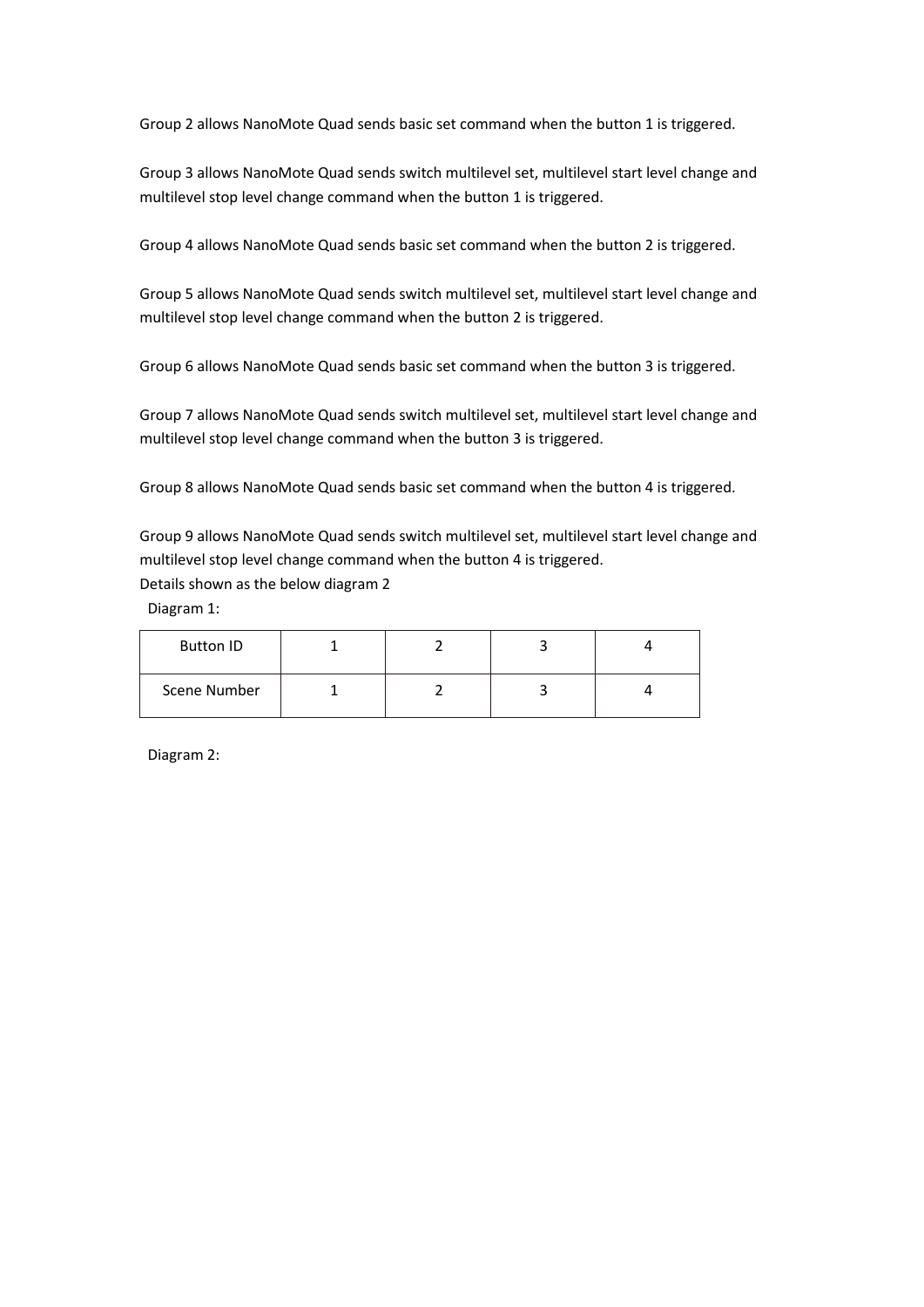Group 2 allows NanoMote Quad sends basic set command when the button 1 is triggered.

Group 3 allows NanoMote Quad sends switch multilevel set, multilevel start level change and multilevel stop level change command when the button 1 is triggered.

Group 4 allows NanoMote Quad sends basic set command when the button 2 is triggered.

Group 5 allows NanoMote Quad sends switch multilevel set, multilevel start level change and multilevel stop level change command when the button 2 is triggered.

Group 6 allows NanoMote Quad sends basic set command when the button 3 is triggered.

Group 7 allows NanoMote Quad sends switch multilevel set, multilevel start level change and multilevel stop level change command when the button 3 is triggered.

Group 8 allows NanoMote Quad sends basic set command when the button 4 is triggered.

Group 9 allows NanoMote Quad sends switch multilevel set, multilevel start level change and multilevel stop level change command when the button 4 is triggered. Details shown as the below diagram 2

Diagram 1:

| <b>Button ID</b> |  |  |
|------------------|--|--|
| Scene Number     |  |  |

Diagram 2: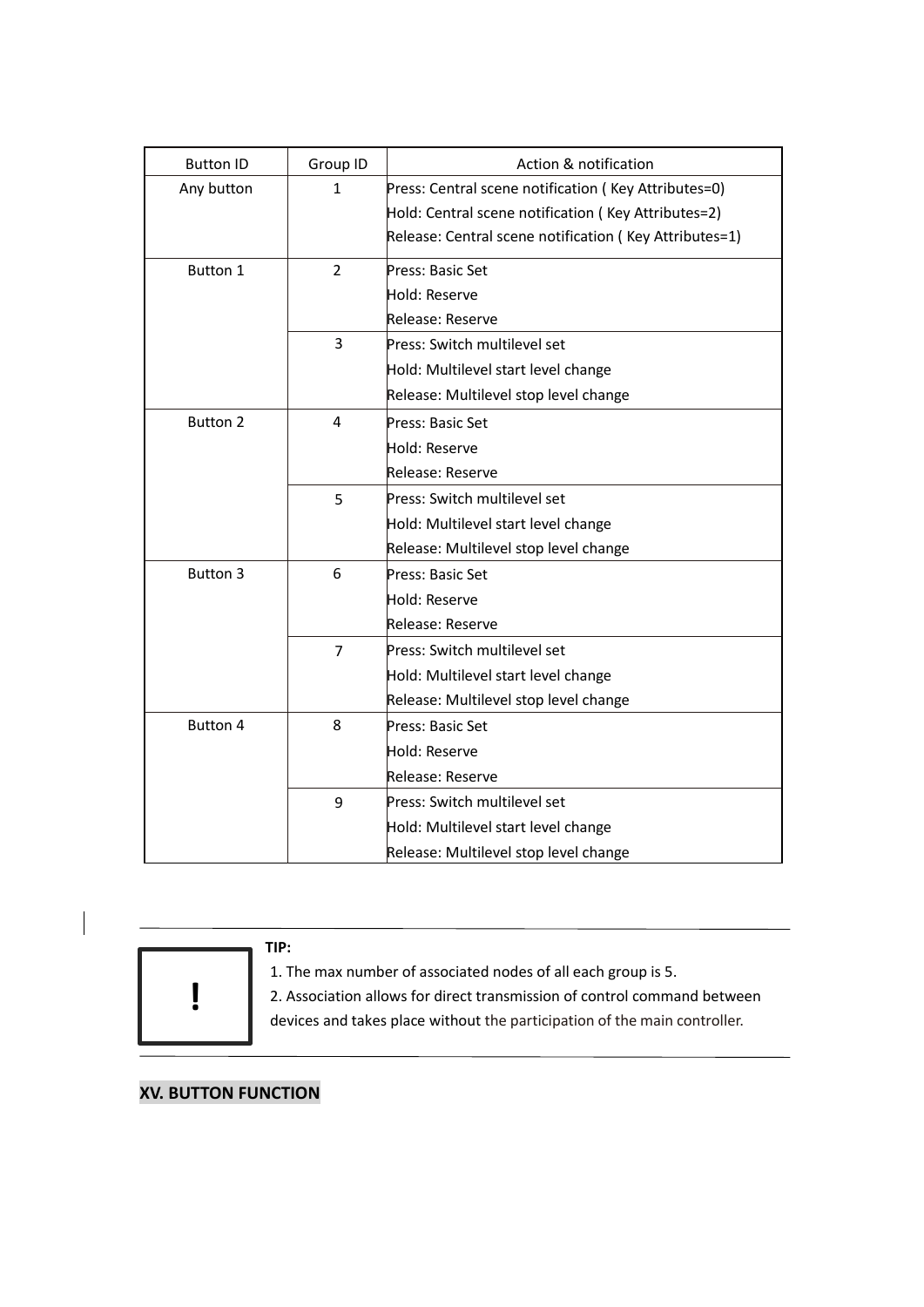| <b>Button ID</b> | Group ID       | Action & notification                                  |
|------------------|----------------|--------------------------------------------------------|
| Any button       | 1              | Press: Central scene notification (Key Attributes=0)   |
|                  |                | Hold: Central scene notification (Key Attributes=2)    |
|                  |                | Release: Central scene notification (Key Attributes=1) |
| Button 1         | $\overline{2}$ | Press: Basic Set                                       |
|                  |                | Hold: Reserve                                          |
|                  |                | Release: Reserve                                       |
|                  | 3              | Press: Switch multilevel set                           |
|                  |                | Hold: Multilevel start level change                    |
|                  |                | Release: Multilevel stop level change                  |
| <b>Button 2</b>  | 4              | Press: Basic Set                                       |
|                  |                | Hold: Reserve                                          |
|                  |                | Release: Reserve                                       |
|                  | 5              | Press: Switch multilevel set                           |
|                  |                | Hold: Multilevel start level change                    |
|                  |                | Release: Multilevel stop level change                  |
| <b>Button 3</b>  | 6              | Press: Basic Set                                       |
|                  |                | Hold: Reserve                                          |
|                  |                | Release: Reserve                                       |
|                  | $\overline{7}$ | Press: Switch multilevel set                           |
|                  |                | Hold: Multilevel start level change                    |
|                  |                | Release: Multilevel stop level change                  |
| Button 4         | 8              | Press: Basic Set                                       |
|                  |                | Hold: Reserve                                          |
|                  |                | Release: Reserve                                       |
|                  | 9              | Press: Switch multilevel set                           |
|                  |                | Hold: Multilevel start level change                    |
|                  |                | Release: Multilevel stop level change                  |



## **XV. BUTTON FUNCTION**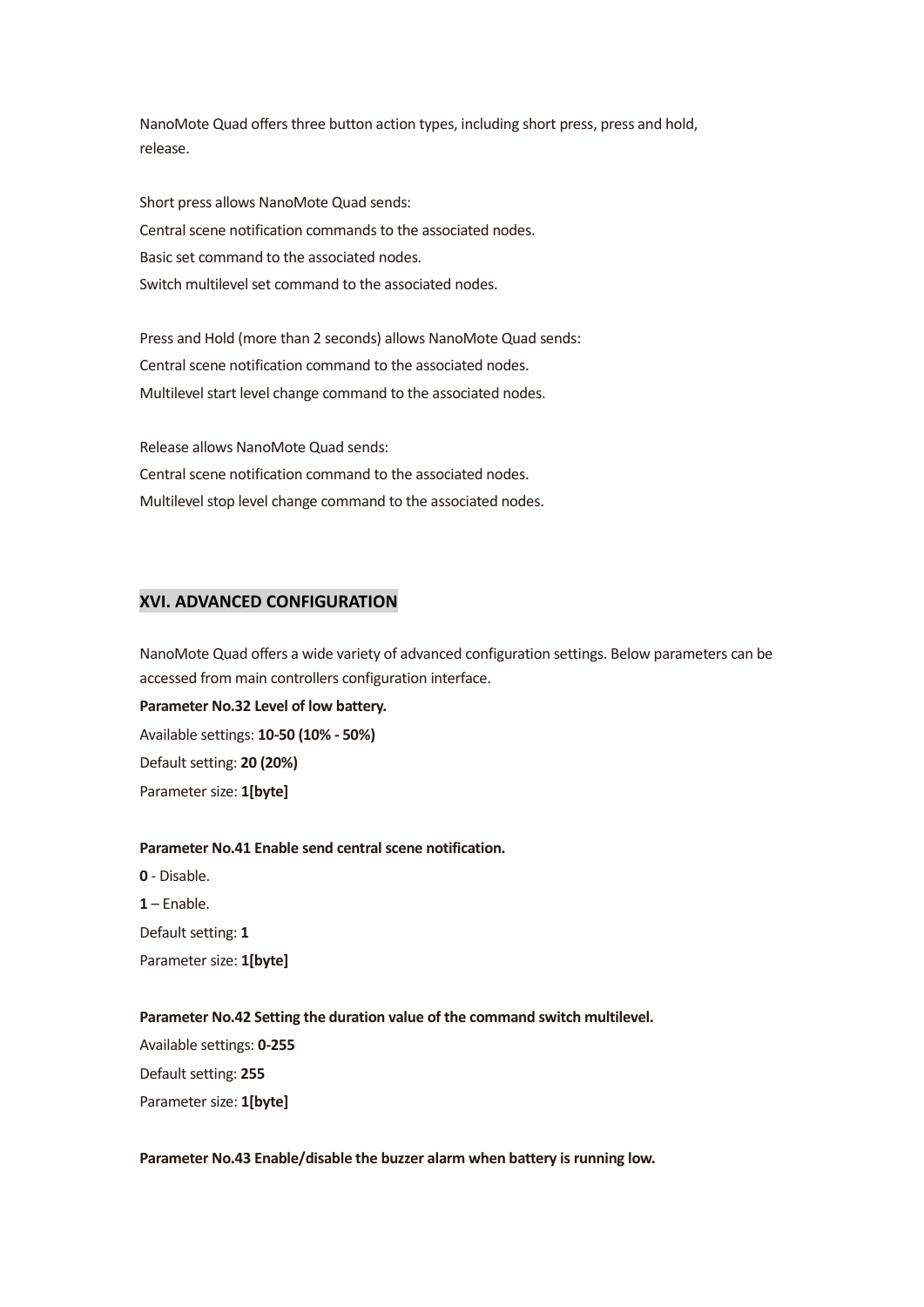NanoMote Quad offers three button action types, including short press, press and hold, release.

Short press allows NanoMote Quad sends: Central scene notification commands to the associated nodes. Basic set command to the associated nodes. Switch multilevel set command to the associated nodes.

Press and Hold (more than 2 seconds) allows NanoMote Quad sends: Central scene notification command to the associated nodes. Multilevel start level change command to the associated nodes.

Release allows NanoMote Quad sends: Central scene notification command to the associated nodes. Multilevel stop level change command to the associated nodes.

### **XVI. ADVANCED CONFIGURATION**

NanoMote Quad offers a wide variety of advanced configuration settings. Below parameters can be accessed from main controllers configuration interface.

**Parameter No.32 Level of low battery.** Available settings: **10-50 (10% - 50%)**  Default setting: **20 (20%)** Parameter size: **1[byte]**

## **Parameter No.41 Enable send central scene notification.**

**0** - Disable. **1** – Enable. Default setting: **1** Parameter size: **1[byte]**

**Parameter No.42 Setting the duration value of the command switch multilevel.**

Available settings: **0-255** Default setting: **255** Parameter size: **1[byte]**

#### Parameter No.43 Enable/disable the buzzer alarm when battery is running low.